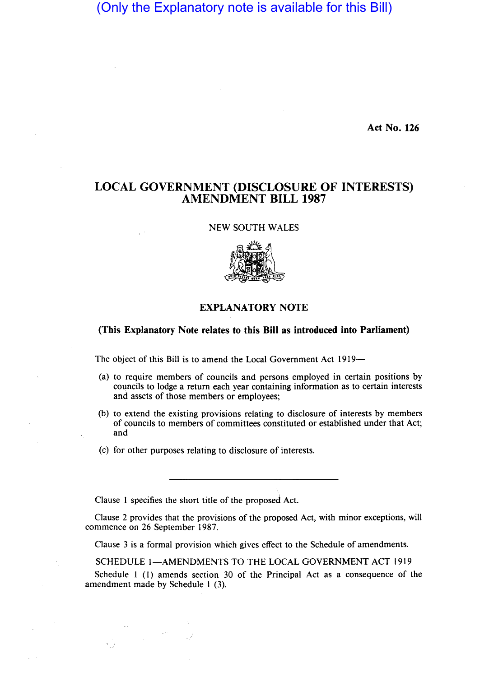## (Only the Explanatory note is available for this Bill)

**Act No. 126** 

## **LOCAL GOVERNMENT (DISCLOSURE OF INTERESTS) AMENDMENT BILL 1987**

NEW SOUTH WALES



## **EXPLANATORY NOTE**

## **(This Explanatory Note relates to this Bill as introduced into Parliament)**

The object of this Bill is to amend the Local Government Act 1919-

- (a) to require members of councils and persons employed in certain positions by councils to lodge a return each year containing information as to certain interests and assets of those members or employees;
- (b) to extend the existing provisions relating to disclosure of interests by members of councils to members of committees constituted or established under that Act; and
- (c) for other purposes relating to disclosure of interests.

Clause I specifies the short title of the proposed Act.

Clause 2 provides that the provisions of the proposed Act, with minor exceptions, will commence on 26 September 1987.

Clause 3 is a formal provision which gives effect to the Schedule of amendments.

SCHEDULE 1-AMENDMENTS TO THE LOCAL GOVERNMENT ACT 1919

Schedule I (I) amends section 30 of the Principal Act as a consequence of the amendment made by Schedule I (3).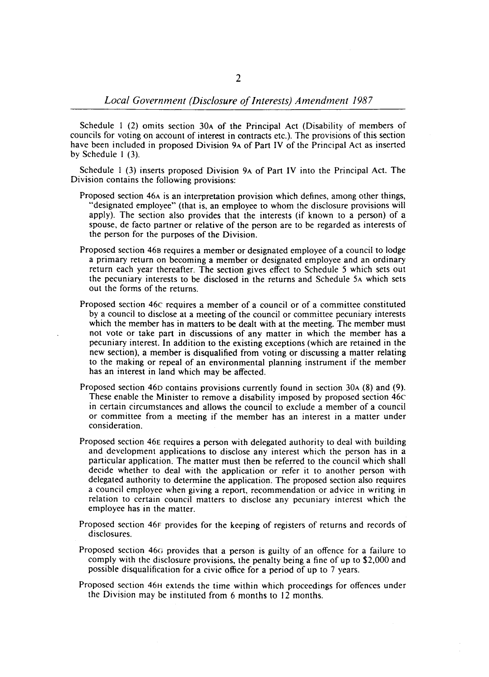Schedule I (2) omits section 30A of the Principal Act (Disability of members of councils for voting on account of interest in contracts etc.). The provisions of this section have been included in proposed Division 9A of Part IV of the Principal Act as inserted by Schedule I (3).

Schedule I (3) inserts proposed Division 9A of Part IV into the Principal Act. The Division contains the following provisions:

- Proposed section 46A is an interpretation provision which defines, among other things, "designated employee" (that is, an employee to whom the disclosure provisions will apply). The section also provides that the interests (if known to a person) of a spouse, de facto partner or relative of the person are to be regarded as interests of the person for the purposes of the Division.
- Proposed section 468 requires a member or designated employee of a council to lodge a primary return on becoming a member or designated employee and an ordinary return each year thereafter. The section gives effect to Schedule 5 which sets out the pecuniary interests to be disclosed in the returns and Schedule 5A which sets out the forms of the returns.
- Proposed section 46c requires a member of a council or of a committee constituted by a council to disclose at a meeting of the council or committee pecuniary interests which the member has in matters to be dealt with at the meeting. The member must not vote or take part in discussions of any matter in which the member has a pecuniary interest. In addition to the existing exceptions (which are retained in the new section), a member is disqualified from voting or discussing a matter relating to the making or repeal of an environmental planning instrument if the member has an interest in land which may be affected.
- Proposed section 46D contains provisions currently found in section 30A (8) and (9). These enable the Minister to remove a disability imposed by proposed section 46c in certain circumstances and allows the council to exclude a member of a council or committee from a meeting if the member has an interest in a matter under consideration.
- Proposed section 46E requires a person with delegated authority to deal with building and development applications to disclose any interest which the person has in a particular application. The matter must then be referred to the council which shall decide whether to deal with the application or refer it to another person with delegated authority to determine the application. The proposed section also requires a council employee when giving a report, recommendation or advice in writing in relation to certain council matters to disclose any pecuniary interest which the employee has in the matter.
- Proposed section 46F provides for the keeping of registers of returns and records of disclosures.
- Proposed section 46G provides that a person is guilty of an offence for a failure to comply with the disclosure provisions, the penalty being a fine of up to \$2,000 and possible disqualification for a civic office for a period of up to 7 years.
- Proposed section 46H extends the time within which proceedings for offences under the Division may be instituted from 6 months to 12 months.